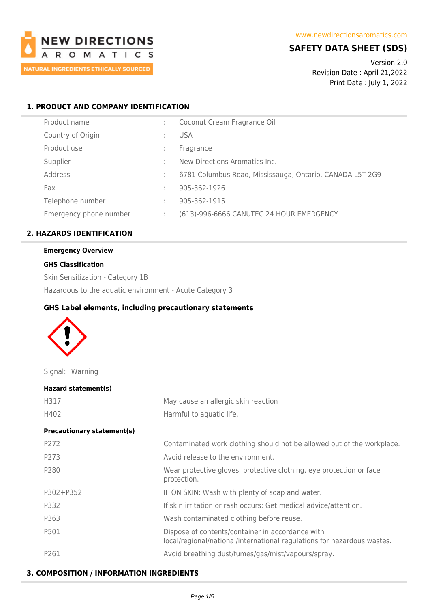

# **SAFETY DATA SHEET (SDS)**

Version 2.0 Revision Date : April 21,2022 Print Date : July 1, 2022

# **1. PRODUCT AND COMPANY IDENTIFICATION**

| Product name           |   | Coconut Cream Fragrance Oil                              |
|------------------------|---|----------------------------------------------------------|
| Country of Origin      |   | <b>USA</b>                                               |
| Product use            |   | Fragrance                                                |
| Supplier               |   | New Directions Aromatics Inc.                            |
| Address                |   | 6781 Columbus Road, Mississauga, Ontario, CANADA L5T 2G9 |
| Fax                    |   | 905-362-1926                                             |
| Telephone number       |   | 905-362-1915                                             |
| Emergency phone number | ÷ | (613)-996-6666 CANUTEC 24 HOUR EMERGENCY                 |
|                        |   |                                                          |

# **2. HAZARDS IDENTIFICATION**

# **Emergency Overview**

#### **GHS Classification**

Skin Sensitization - Category 1B

Hazardous to the aquatic environment - Acute Category 3

# **GHS Label elements, including precautionary statements**



Signal: Warning

| Hazard statement(s)               |                                                                                                                             |
|-----------------------------------|-----------------------------------------------------------------------------------------------------------------------------|
| H317                              | May cause an allergic skin reaction                                                                                         |
| H402                              | Harmful to aquatic life.                                                                                                    |
| <b>Precautionary statement(s)</b> |                                                                                                                             |
| P272                              | Contaminated work clothing should not be allowed out of the workplace.                                                      |
| P273                              | Avoid release to the environment.                                                                                           |
| P280                              | Wear protective gloves, protective clothing, eye protection or face<br>protection.                                          |
| P302+P352                         | IF ON SKIN: Wash with plenty of soap and water.                                                                             |
| P332                              | If skin irritation or rash occurs: Get medical advice/attention.                                                            |
| P363                              | Wash contaminated clothing before reuse.                                                                                    |
| P501                              | Dispose of contents/container in accordance with<br>local/regional/national/international regulations for hazardous wastes. |
| P261                              | Avoid breathing dust/fumes/gas/mist/vapours/spray.                                                                          |

# **3. COMPOSITION / INFORMATION INGREDIENTS**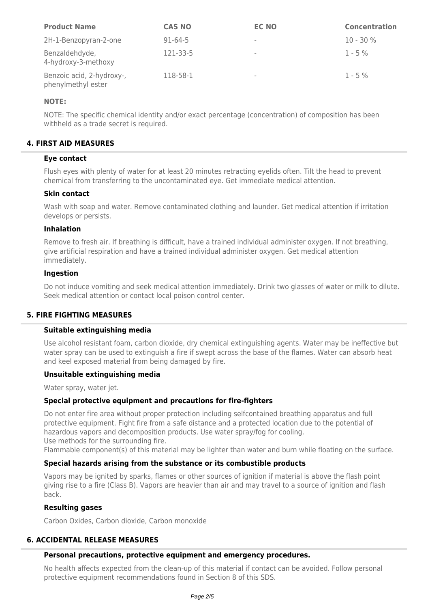| <b>Product Name</b>                             | <b>CAS NO</b> | <b>EC NO</b>             | <b>Concentration</b> |
|-------------------------------------------------|---------------|--------------------------|----------------------|
| 2H-1-Benzopyran-2-one                           | $91 - 64 - 5$ | $\overline{\phantom{a}}$ | $10 - 30 \%$         |
| Benzaldehdyde,<br>4-hydroxy-3-methoxy           | 121-33-5      | $\overline{\phantom{a}}$ | $1 - 5\%$            |
| Benzoic acid, 2-hydroxy-,<br>phenylmethyl ester | 118-58-1      | $\overline{\phantom{a}}$ | $1 - 5\%$            |

## **NOTE:**

NOTE: The specific chemical identity and/or exact percentage (concentration) of composition has been withheld as a trade secret is required.

# **4. FIRST AID MEASURES**

## **Eye contact**

Flush eyes with plenty of water for at least 20 minutes retracting eyelids often. Tilt the head to prevent chemical from transferring to the uncontaminated eye. Get immediate medical attention.

## **Skin contact**

Wash with soap and water. Remove contaminated clothing and launder. Get medical attention if irritation develops or persists.

#### **Inhalation**

Remove to fresh air. If breathing is difficult, have a trained individual administer oxygen. If not breathing, give artificial respiration and have a trained individual administer oxygen. Get medical attention immediately.

#### **Ingestion**

Do not induce vomiting and seek medical attention immediately. Drink two glasses of water or milk to dilute. Seek medical attention or contact local poison control center.

## **5. FIRE FIGHTING MEASURES**

## **Suitable extinguishing media**

Use alcohol resistant foam, carbon dioxide, dry chemical extinguishing agents. Water may be ineffective but water spray can be used to extinguish a fire if swept across the base of the flames. Water can absorb heat and keel exposed material from being damaged by fire.

## **Unsuitable extinguishing media**

Water spray, water jet.

## **Special protective equipment and precautions for fire-fighters**

Do not enter fire area without proper protection including selfcontained breathing apparatus and full protective equipment. Fight fire from a safe distance and a protected location due to the potential of hazardous vapors and decomposition products. Use water spray/fog for cooling. Use methods for the surrounding fire.

Flammable component(s) of this material may be lighter than water and burn while floating on the surface.

## **Special hazards arising from the substance or its combustible products**

Vapors may be ignited by sparks, flames or other sources of ignition if material is above the flash point giving rise to a fire (Class B). Vapors are heavier than air and may travel to a source of ignition and flash back.

# **Resulting gases**

Carbon Oxides, Carbon dioxide, Carbon monoxide

## **6. ACCIDENTAL RELEASE MEASURES**

## **Personal precautions, protective equipment and emergency procedures.**

No health affects expected from the clean-up of this material if contact can be avoided. Follow personal protective equipment recommendations found in Section 8 of this SDS.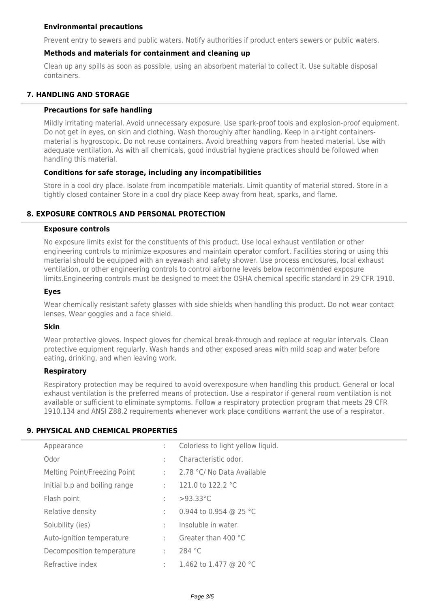# **Environmental precautions**

Prevent entry to sewers and public waters. Notify authorities if product enters sewers or public waters.

# **Methods and materials for containment and cleaning up**

Clean up any spills as soon as possible, using an absorbent material to collect it. Use suitable disposal containers.

# **7. HANDLING AND STORAGE**

### **Precautions for safe handling**

Mildly irritating material. Avoid unnecessary exposure. Use spark-proof tools and explosion-proof equipment. Do not get in eyes, on skin and clothing. Wash thoroughly after handling. Keep in air-tight containersmaterial is hygroscopic. Do not reuse containers. Avoid breathing vapors from heated material. Use with adequate ventilation. As with all chemicals, good industrial hygiene practices should be followed when handling this material.

## **Conditions for safe storage, including any incompatibilities**

Store in a cool dry place. Isolate from incompatible materials. Limit quantity of material stored. Store in a tightly closed container Store in a cool dry place Keep away from heat, sparks, and flame.

## **8. EXPOSURE CONTROLS AND PERSONAL PROTECTION**

#### **Exposure controls**

No exposure limits exist for the constituents of this product. Use local exhaust ventilation or other engineering controls to minimize exposures and maintain operator comfort. Facilities storing or using this material should be equipped with an eyewash and safety shower. Use process enclosures, local exhaust ventilation, or other engineering controls to control airborne levels below recommended exposure limits.Engineering controls must be designed to meet the OSHA chemical specific standard in 29 CFR 1910.

### **Eyes**

Wear chemically resistant safety glasses with side shields when handling this product. Do not wear contact lenses. Wear goggles and a face shield.

## **Skin**

Wear protective gloves. Inspect gloves for chemical break-through and replace at regular intervals. Clean protective equipment regularly. Wash hands and other exposed areas with mild soap and water before eating, drinking, and when leaving work.

## **Respiratory**

Respiratory protection may be required to avoid overexposure when handling this product. General or local exhaust ventilation is the preferred means of protection. Use a respirator if general room ventilation is not available or sufficient to eliminate symptoms. Follow a respiratory protection program that meets 29 CFR 1910.134 and ANSI Z88.2 requirements whenever work place conditions warrant the use of a respirator.

## **9. PHYSICAL AND CHEMICAL PROPERTIES**

| Appearance                    |      | Colorless to light yellow liquid. |
|-------------------------------|------|-----------------------------------|
| Odor                          |      | Characteristic odor.              |
| Melting Point/Freezing Point  | t in | 2.78 °C/ No Data Available        |
| Initial b.p and boiling range | t in | 121.0 to 122.2 $^{\circ}$ C       |
| Flash point                   | ÷.   | $>93.33^{\circ}$ C                |
| Relative density              |      | 0.944 to 0.954 @ 25 °C            |
| Solubility (ies)              |      | Insoluble in water.               |
| Auto-ignition temperature     | ÷.   | Greater than 400 °C               |
| Decomposition temperature     | ÷    | 284 °C                            |
| Refractive index              | ÷.   | 1.462 to 1.477 @ 20 °C            |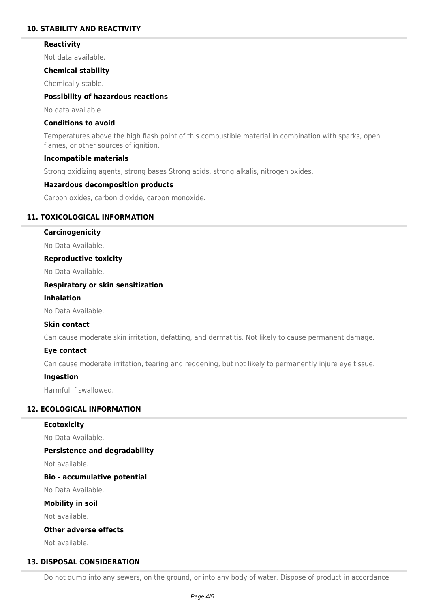## **10. STABILITY AND REACTIVITY**

### **Reactivity**

Not data available.

## **Chemical stability**

Chemically stable.

## **Possibility of hazardous reactions**

No data available

# **Conditions to avoid**

Temperatures above the high flash point of this combustible material in combination with sparks, open flames, or other sources of ignition.

#### **Incompatible materials**

Strong oxidizing agents, strong bases Strong acids, strong alkalis, nitrogen oxides.

## **Hazardous decomposition products**

Carbon oxides, carbon dioxide, carbon monoxide.

## **11. TOXICOLOGICAL INFORMATION**

#### **Carcinogenicity**

No Data Available.

## **Reproductive toxicity**

No Data Available.

## **Respiratory or skin sensitization**

## **Inhalation**

No Data Available.

## **Skin contact**

Can cause moderate skin irritation, defatting, and dermatitis. Not likely to cause permanent damage.

## **Eye contact**

Can cause moderate irritation, tearing and reddening, but not likely to permanently injure eye tissue.

## **Ingestion**

Harmful if swallowed.

# **12. ECOLOGICAL INFORMATION**

# **Ecotoxicity**

No Data Available.

## **Persistence and degradability**

Not available.

## **Bio - accumulative potential**

No Data Available.

#### **Mobility in soil**

Not available.

## **Other adverse effects**

Not available.

## **13. DISPOSAL CONSIDERATION**

Do not dump into any sewers, on the ground, or into any body of water. Dispose of product in accordance